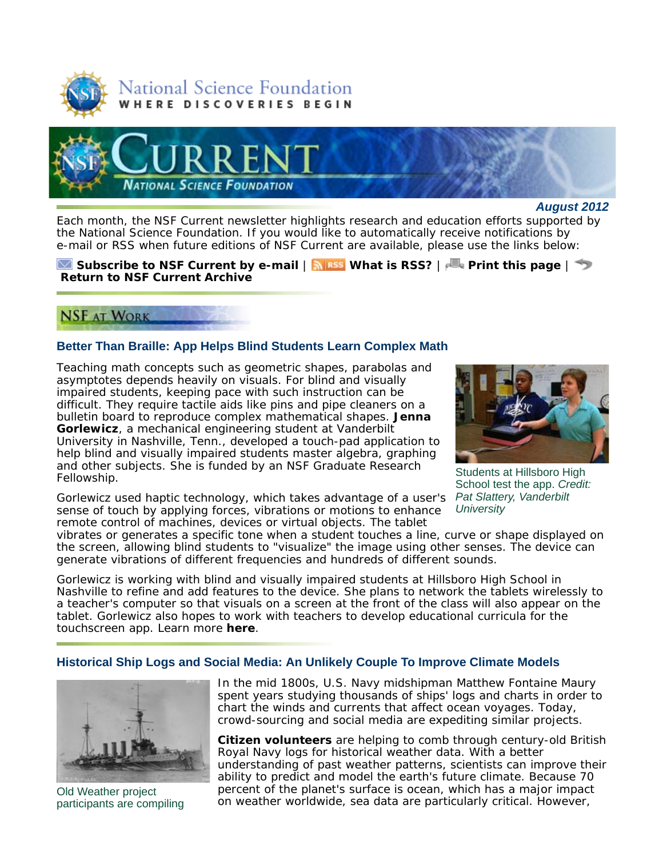



#### *August 2012*

Each month, the *NSF Current* newsletter highlights research and education efforts supported by the National Science Foundation. If you would like to automatically receive notifications by e-mail or RSS when future editions of *NSF Current* are available, please use the links below:

#### **Subscribe to** *NSF Current* **by e-mail** | **What is RSS?** | **Print this page** | **Return to** *NSF Current* **Archive**

# **NSF AT WORK**

# **Better Than Braille: App Helps Blind Students Learn Complex Math**

Teaching math concepts such as geometric shapes, parabolas and asymptotes depends heavily on visuals. For blind and visually impaired students, keeping pace with such instruction can be difficult. They require tactile aids like pins and pipe cleaners on a bulletin board to reproduce complex mathematical shapes. **Jenna Gorlewicz**, a mechanical engineering student at Vanderbilt University in Nashville, Tenn., developed a touch-pad application to help blind and visually impaired students master algebra, graphing and other subjects. She is funded by an NSF Graduate Research Fellowship.

Gorlewicz used haptic technology, which takes advantage of a user's sense of touch by applying forces, vibrations or motions to enhance remote control of machines, devices or virtual objects. The tablet

Students at Hillsboro High School test the app. *Credit: Pat Slattery, Vanderbilt University*

vibrates or generates a specific tone when a student touches a line, curve or shape displayed on the screen, allowing blind students to "visualize" the image using other senses. The device can generate vibrations of different frequencies and hundreds of different sounds.

Gorlewicz is working with blind and visually impaired students at Hillsboro High School in Nashville to refine and add features to the device. She plans to network the tablets wirelessly to a teacher's computer so that visuals on a screen at the front of the class will also appear on the tablet. Gorlewicz also hopes to work with teachers to develop educational curricula for the touchscreen app. Learn more **here**.

## **Historical Ship Logs and Social Media: An Unlikely Couple To Improve Climate Models**



Old Weather project participants are compiling

In the mid 1800s, U.S. Navy midshipman Matthew Fontaine Maury spent years studying thousands of ships' logs and charts in order to chart the winds and currents that affect ocean voyages. Today, crowd-sourcing and social media are expediting similar projects.

**Citizen volunteers** are helping to comb through century-old British Royal Navy logs for historical weather data. With a better understanding of past weather patterns, scientists can improve their ability to predict and model the earth's future climate. Because 70 percent of the planet's surface is ocean, which has a major impact on weather worldwide, sea data are particularly critical. However,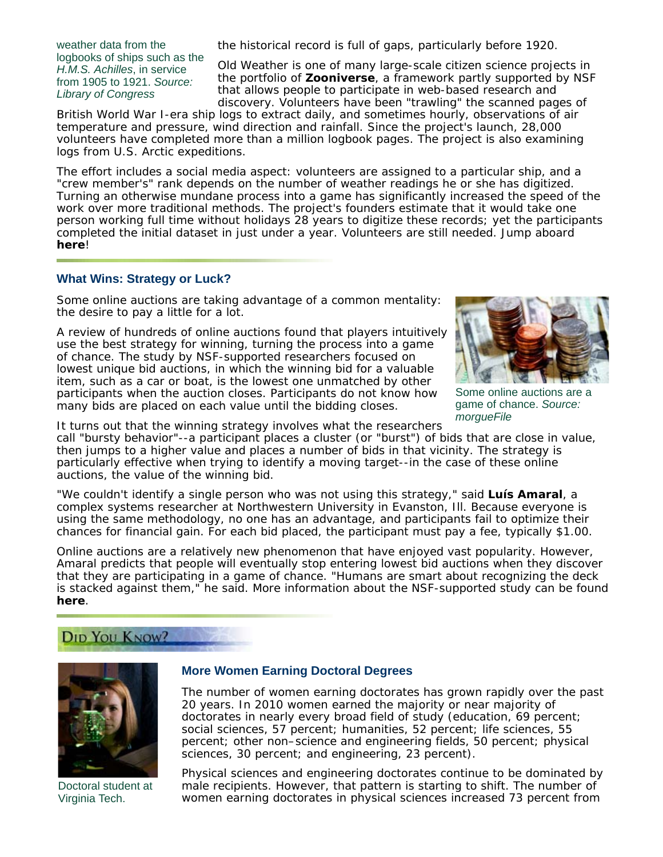weather data from the logbooks of ships such as the *H.M.S. Achilles*, in service from 1905 to 1921. *Source: Library of Congress*

the historical record is full of gaps, particularly before 1920.

Old Weather is one of many large-scale citizen science projects in the portfolio of **Zooniverse**, a framework partly supported by NSF that allows people to participate in web-based research and discovery. Volunteers have been "trawling" the scanned pages of

British World War I-era ship logs to extract daily, and sometimes hourly, observations of air temperature and pressure, wind direction and rainfall. Since the project's launch, 28,000 volunteers have completed more than a million logbook pages. The project is also examining logs from U.S. Arctic expeditions.

The effort includes a social media aspect: volunteers are assigned to a particular ship, and a "crew member's" rank depends on the number of weather readings he or she has digitized. Turning an otherwise mundane process into a game has significantly increased the speed of the work over more traditional methods. The project's founders estimate that it would take one person working full time without holidays 28 years to digitize these records; yet the participants completed the initial dataset in just under a year. Volunteers are still needed. Jump aboard **here**!

#### **What Wins: Strategy or Luck?**

Some online auctions are taking advantage of a common mentality: the desire to pay a little for a lot.

A review of hundreds of online auctions found that players intuitively use the best strategy for winning, turning the process into a game of chance. The study by NSF-supported researchers focused on lowest unique bid auctions, in which the winning bid for a valuable item, such as a car or boat, is the lowest one unmatched by other participants when the auction closes. Participants do not know how many bids are placed on each value until the bidding closes.



Some online auctions are a game of chance. *Source: morgueFile*

It turns out that the winning strategy involves what the researchers call "bursty behavior"--a participant places a cluster (or "burst") of bids that are close in value,

then jumps to a higher value and places a number of bids in that vicinity. The strategy is particularly effective when trying to identify a moving target--in the case of these online auctions, the value of the winning bid.

"We couldn't identify a single person who was not using this strategy," said **Luís Amaral**, a complex systems researcher at Northwestern University in Evanston, Ill. Because everyone is using the same methodology, no one has an advantage, and participants fail to optimize their chances for financial gain. For each bid placed, the participant must pay a fee, typically \$1.00.

Online auctions are a relatively new phenomenon that have enjoyed vast popularity. However, Amaral predicts that people will eventually stop entering lowest bid auctions when they discover that they are participating in a game of chance. "Humans are smart about recognizing the deck is stacked against them," he said. More information about the NSF-supported study can be found **here**.

# DID YOU KNOW?



Doctoral student at Virginia Tech.

#### **More Women Earning Doctoral Degrees**

The number of women earning doctorates has grown rapidly over the past 20 years. In 2010 women earned the majority or near majority of doctorates in nearly every broad field of study (education, 69 percent; social sciences, 57 percent; humanities, 52 percent; life sciences, 55 percent; other non–science and engineering fields, 50 percent; physical sciences, 30 percent; and engineering, 23 percent).

Physical sciences and engineering doctorates continue to be dominated by male recipients. However, that pattern is starting to shift. The number of women earning doctorates in physical sciences increased 73 percent from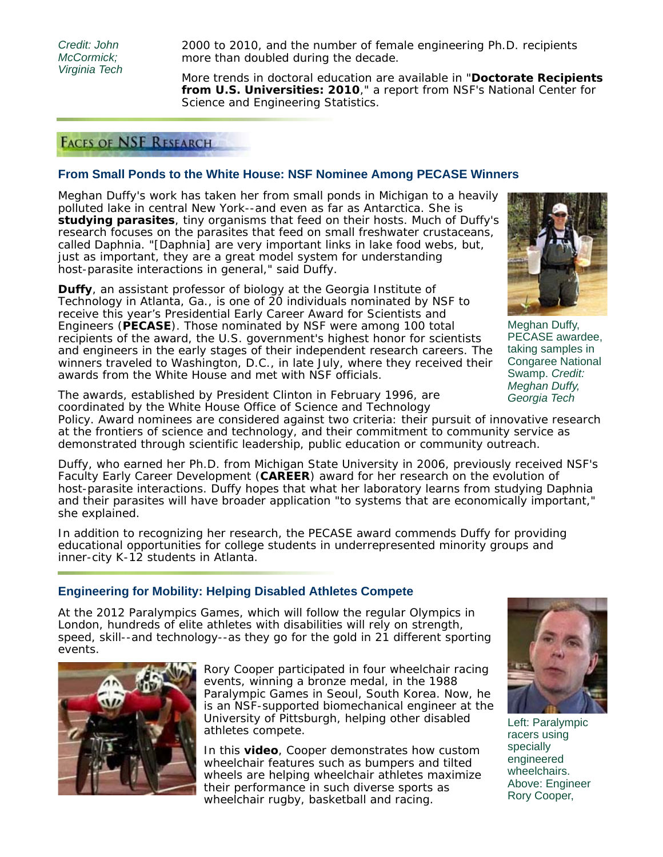*Credit: John McCormick; Virginia Tech*

2000 to 2010, and the number of female engineering Ph.D. recipients more than doubled during the decade.

More trends in doctoral education are available in "**Doctorate Recipients from U.S. Universities: 2010**," a report from NSF's National Center for Science and Engineering Statistics.

# **FACES OF NSF RESEARCH**

## **From Small Ponds to the White House: NSF Nominee Among PECASE Winners**

Meghan Duffy's work has taken her from small ponds in Michigan to a heavily polluted lake in central New York--and even as far as Antarctica. She is **studying parasites**, tiny organisms that feed on their hosts. Much of Duffy's research focuses on the parasites that feed on small freshwater crustaceans, called *Daphnia*. "[*Daphnia*] are very important links in lake food webs, but, just as important, they are a great model system for understanding host-parasite interactions in general," said Duffy.

**Duffy**, an assistant professor of biology at the Georgia Institute of Technology in Atlanta, Ga., is one of 20 individuals nominated by NSF to receive this year's Presidential Early Career Award for Scientists and Engineers (**PECASE**). Those nominated by NSF were among 100 total recipients of the award, the U.S. government's highest honor for scientists and engineers in the early stages of their independent research careers. The winners traveled to Washington, D.C., in late July, where they received their awards from the White House and met with NSF officials.

The awards, established by President Clinton in February 1996, are coordinated by the White House Office of Science and Technology Policy. Award nominees are considered against two criteria: their pursuit of innovative research at the frontiers of science and technology, and their commitment to community service as

demonstrated through scientific leadership, public education or community outreach.

Duffy, who earned her Ph.D. from Michigan State University in 2006, previously received NSF's Faculty Early Career Development (**CAREER**) award for her research on the evolution of host-parasite interactions. Duffy hopes that what her laboratory learns from studying Daphnia and their parasites will have broader application "to systems that are economically important," she explained.

In addition to recognizing her research, the PECASE award commends Duffy for providing educational opportunities for college students in underrepresented minority groups and inner-city K-12 students in Atlanta.

#### **Engineering for Mobility: Helping Disabled Athletes Compete**

At the 2012 Paralympics Games, which will follow the regular Olympics in London, hundreds of elite athletes with disabilities will rely on strength, speed, skill--and technology--as they go for the gold in 21 different sporting events.



Rory Cooper participated in four wheelchair racing events, winning a bronze medal, in the 1988 Paralympic Games in Seoul, South Korea. Now, he is an NSF-supported biomechanical engineer at the University of Pittsburgh, helping other disabled athletes compete.

In this **video**, Cooper demonstrates how custom wheelchair features such as bumpers and tilted wheels are helping wheelchair athletes maximize their performance in such diverse sports as wheelchair rugby, basketball and racing.



Left: Paralympic racers using specially engineered wheelchairs. Above: Engineer Rory Cooper,

Meghan Duffy, PECASE awardee, taking samples in Congaree National Swamp. *Credit: Meghan Duffy, Georgia Tech*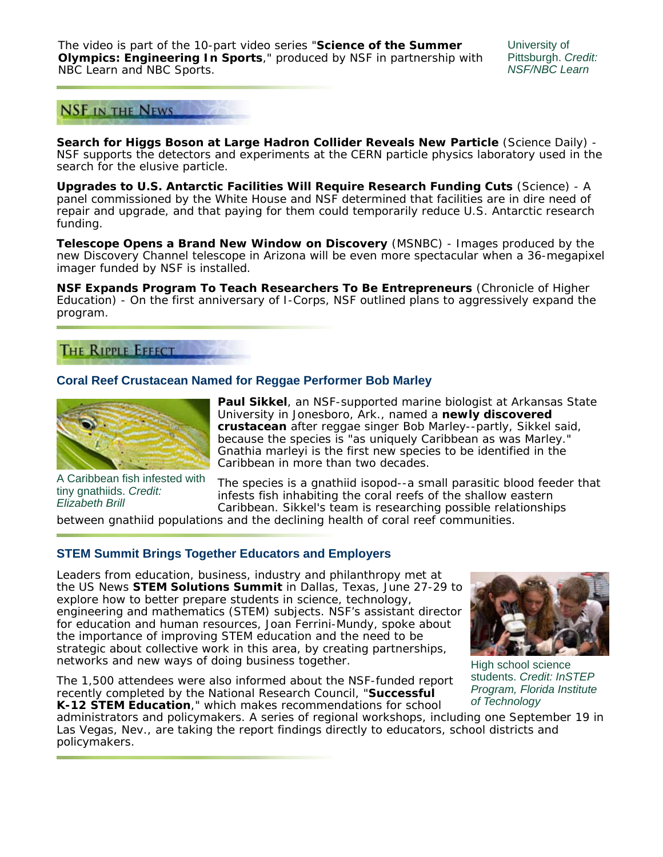The video is part of the 10-part video series "**Science of the Summer Olympics: Engineering In Sports**," produced by NSF in partnership with NBC Learn and NBC Sports.

University of Pittsburgh. *Credit: NSF/NBC Learn*



**Search for Higgs Boson at Large Hadron Collider Reveals New Particle** (*Science Daily*) - NSF supports the detectors and experiments at the CERN particle physics laboratory used in the search for the elusive particle.

**Upgrades to U.S. Antarctic Facilities Will Require Research Funding Cuts** (*Science*) - A panel commissioned by the White House and NSF determined that facilities are in dire need of repair and upgrade, and that paying for them could temporarily reduce U.S. Antarctic research funding.

**Telescope Opens a Brand New Window on Discovery** (*MSNBC*) - Images produced by the new Discovery Channel telescope in Arizona will be even more spectacular when a 36-megapixel imager funded by NSF is installed.

**NSF Expands Program To Teach Researchers To Be Entrepreneurs** (*Chronicle of Higher Education*) - On the first anniversary of I-Corps, NSF outlined plans to aggressively expand the program.

# **THE RIPPLE EFFECT**

## **Coral Reef Crustacean Named for Reggae Performer Bob Marley**



A Caribbean fish infested with tiny gnathiids. *Credit: Elizabeth Brill*

**Paul Sikkel**, an NSF-supported marine biologist at Arkansas State University in Jonesboro, Ark., named a **newly discovered crustacean** after reggae singer Bob Marley--partly, Sikkel said, because the species is "as uniquely Caribbean as was Marley." *Gnathia marleyi* is the first new species to be identified in the Caribbean in more than two decades.

The species is a gnathiid isopod--a small parasitic blood feeder that infests fish inhabiting the coral reefs of the shallow eastern Caribbean. Sikkel's team is researching possible relationships

between gnathiid populations and the declining health of coral reef communities.

# **STEM Summit Brings Together Educators and Employers**

Leaders from education, business, industry and philanthropy met at the *US News* **STEM Solutions Summit** in Dallas, Texas, June 27-29 to explore how to better prepare students in science, technology, engineering and mathematics (STEM) subjects. NSF's assistant director for education and human resources, Joan Ferrini-Mundy, spoke about the importance of improving STEM education and the need to be strategic about collective work in this area, by creating partnerships, networks and new ways of doing business together.

The 1,500 attendees were also informed about the NSF-funded report recently completed by the National Research Council, "**Successful K-12 STEM Education**," which makes recommendations for school



High school science students. *Credit: InSTEP Program, Florida Institute of Technology*

administrators and policymakers. A series of regional workshops, including one September 19 in Las Vegas, Nev., are taking the report findings directly to educators, school districts and policymakers.